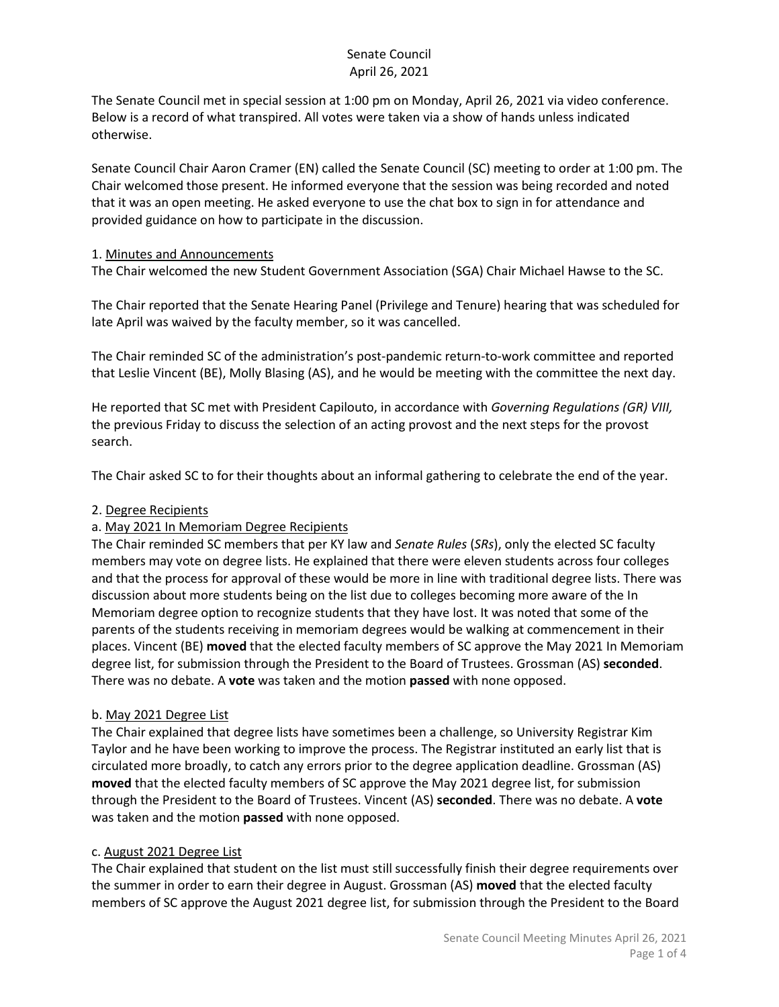The Senate Council met in special session at 1:00 pm on Monday, April 26, 2021 via video conference. Below is a record of what transpired. All votes were taken via a show of hands unless indicated otherwise.

Senate Council Chair Aaron Cramer (EN) called the Senate Council (SC) meeting to order at 1:00 pm. The Chair welcomed those present. He informed everyone that the session was being recorded and noted that it was an open meeting. He asked everyone to use the chat box to sign in for attendance and provided guidance on how to participate in the discussion.

#### 1. Minutes and Announcements

The Chair welcomed the new Student Government Association (SGA) Chair Michael Hawse to the SC.

The Chair reported that the Senate Hearing Panel (Privilege and Tenure) hearing that was scheduled for late April was waived by the faculty member, so it was cancelled.

The Chair reminded SC of the administration's post-pandemic return-to-work committee and reported that Leslie Vincent (BE), Molly Blasing (AS), and he would be meeting with the committee the next day.

He reported that SC met with President Capilouto, in accordance with *Governing Regulations (GR) VIII,* the previous Friday to discuss the selection of an acting provost and the next steps for the provost search.

The Chair asked SC to for their thoughts about an informal gathering to celebrate the end of the year.

## 2. Degree Recipients

## a. May 2021 In Memoriam Degree Recipients

The Chair reminded SC members that per KY law and *Senate Rules* (*SRs*), only the elected SC faculty members may vote on degree lists. He explained that there were eleven students across four colleges and that the process for approval of these would be more in line with traditional degree lists. There was discussion about more students being on the list due to colleges becoming more aware of the In Memoriam degree option to recognize students that they have lost. It was noted that some of the parents of the students receiving in memoriam degrees would be walking at commencement in their places. Vincent (BE) **moved** that the elected faculty members of SC approve the May 2021 In Memoriam degree list, for submission through the President to the Board of Trustees. Grossman (AS) **seconded**. There was no debate. A **vote** was taken and the motion **passed** with none opposed.

#### b. May 2021 Degree List

The Chair explained that degree lists have sometimes been a challenge, so University Registrar Kim Taylor and he have been working to improve the process. The Registrar instituted an early list that is circulated more broadly, to catch any errors prior to the degree application deadline. Grossman (AS) **moved** that the elected faculty members of SC approve the May 2021 degree list, for submission through the President to the Board of Trustees. Vincent (AS) **seconded**. There was no debate. A **vote** was taken and the motion **passed** with none opposed.

#### c. August 2021 Degree List

The Chair explained that student on the list must still successfully finish their degree requirements over the summer in order to earn their degree in August. Grossman (AS) **moved** that the elected faculty members of SC approve the August 2021 degree list, for submission through the President to the Board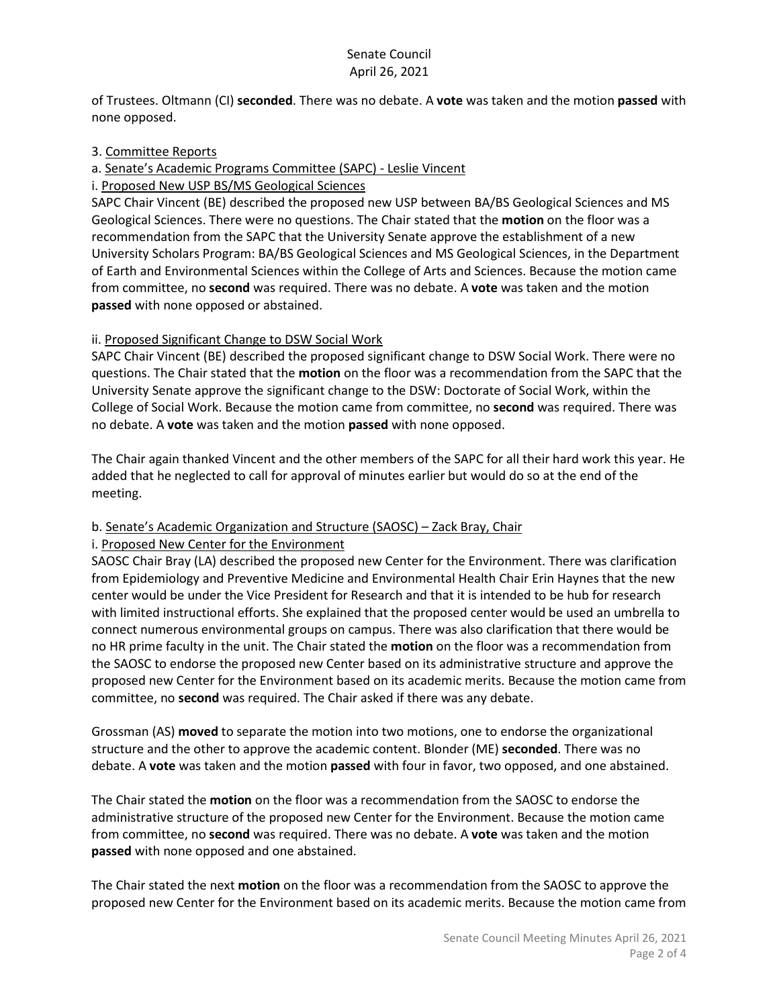of Trustees. Oltmann (CI) **seconded**. There was no debate. A **vote** was taken and the motion **passed** with none opposed.

## 3. Committee Reports

a. Senate's Academic Programs Committee (SAPC) - Leslie Vincent

i. Proposed New USP BS/MS Geological Sciences

SAPC Chair Vincent (BE) described the proposed new USP between BA/BS Geological Sciences and MS Geological Sciences. There were no questions. The Chair stated that the **motion** on the floor was a recommendation from the SAPC that the University Senate approve the establishment of a new University Scholars Program: BA/BS Geological Sciences and MS Geological Sciences, in the Department of Earth and Environmental Sciences within the College of Arts and Sciences. Because the motion came from committee, no **second** was required. There was no debate. A **vote** was taken and the motion **passed** with none opposed or abstained.

## ii. Proposed Significant Change to DSW Social Work

SAPC Chair Vincent (BE) described the proposed significant change to DSW Social Work. There were no questions. The Chair stated that the **motion** on the floor was a recommendation from the SAPC that the University Senate approve the significant change to the DSW: Doctorate of Social Work, within the College of Social Work. Because the motion came from committee, no **second** was required. There was no debate. A **vote** was taken and the motion **passed** with none opposed.

The Chair again thanked Vincent and the other members of the SAPC for all their hard work this year. He added that he neglected to call for approval of minutes earlier but would do so at the end of the meeting.

## b. Senate's Academic Organization and Structure (SAOSC) – Zack Bray, Chair

#### i. Proposed New Center for the Environment

SAOSC Chair Bray (LA) described the proposed new Center for the Environment. There was clarification from Epidemiology and Preventive Medicine and Environmental Health Chair Erin Haynes that the new center would be under the Vice President for Research and that it is intended to be hub for research with limited instructional efforts. She explained that the proposed center would be used an umbrella to connect numerous environmental groups on campus. There was also clarification that there would be no HR prime faculty in the unit. The Chair stated the **motion** on the floor was a recommendation from the SAOSC to endorse the proposed new Center based on its administrative structure and approve the proposed new Center for the Environment based on its academic merits. Because the motion came from committee, no **second** was required. The Chair asked if there was any debate.

Grossman (AS) **moved** to separate the motion into two motions, one to endorse the organizational structure and the other to approve the academic content. Blonder (ME) **seconded**. There was no debate. A **vote** was taken and the motion **passed** with four in favor, two opposed, and one abstained.

The Chair stated the **motion** on the floor was a recommendation from the SAOSC to endorse the administrative structure of the proposed new Center for the Environment. Because the motion came from committee, no **second** was required. There was no debate. A **vote** was taken and the motion **passed** with none opposed and one abstained.

The Chair stated the next **motion** on the floor was a recommendation from the SAOSC to approve the proposed new Center for the Environment based on its academic merits. Because the motion came from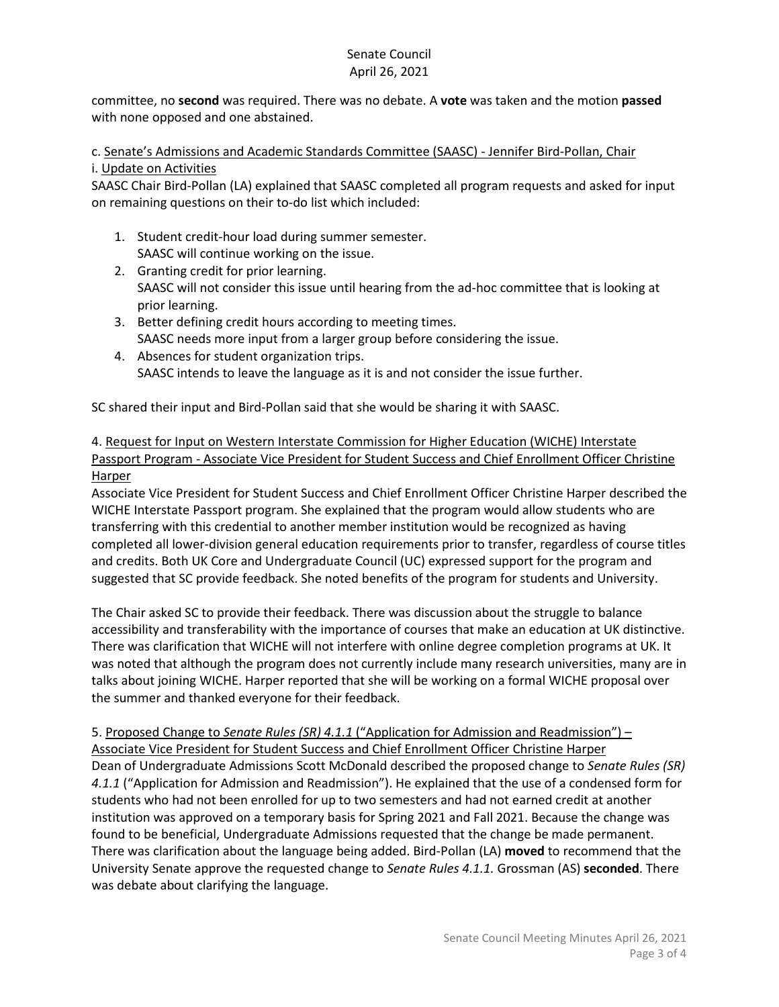committee, no **second** was required. There was no debate. A **vote** was taken and the motion **passed** with none opposed and one abstained.

c. Senate's Admissions and Academic Standards Committee (SAASC) - Jennifer Bird-Pollan, Chair i. Update on Activities

SAASC Chair Bird-Pollan (LA) explained that SAASC completed all program requests and asked for input on remaining questions on their to-do list which included:

- 1. Student credit-hour load during summer semester. SAASC will continue working on the issue.
- 2. Granting credit for prior learning. SAASC will not consider this issue until hearing from the ad-hoc committee that is looking at prior learning.
- 3. Better defining credit hours according to meeting times. SAASC needs more input from a larger group before considering the issue.
- 4. Absences for student organization trips. SAASC intends to leave the language as it is and not consider the issue further.

SC shared their input and Bird-Pollan said that she would be sharing it with SAASC.

4. Request for Input on Western Interstate Commission for Higher Education (WICHE) Interstate Passport Program - Associate Vice President for Student Success and Chief Enrollment Officer Christine Harper

Associate Vice President for Student Success and Chief Enrollment Officer Christine Harper described the WICHE Interstate Passport program. She explained that the program would allow students who are transferring with this credential to another member institution would be recognized as having completed all lower-division general education requirements prior to transfer, regardless of course titles and credits. Both UK Core and Undergraduate Council (UC) expressed support for the program and suggested that SC provide feedback. She noted benefits of the program for students and University.

The Chair asked SC to provide their feedback. There was discussion about the struggle to balance accessibility and transferability with the importance of courses that make an education at UK distinctive. There was clarification that WICHE will not interfere with online degree completion programs at UK. It was noted that although the program does not currently include many research universities, many are in talks about joining WICHE. Harper reported that she will be working on a formal WICHE proposal over the summer and thanked everyone for their feedback.

5. Proposed Change to *Senate Rules (SR) 4.1.1* ("Application for Admission and Readmission") – Associate Vice President for Student Success and Chief Enrollment Officer Christine Harper Dean of Undergraduate Admissions Scott McDonald described the proposed change to *Senate Rules (SR) 4.1.1* ("Application for Admission and Readmission"). He explained that the use of a condensed form for students who had not been enrolled for up to two semesters and had not earned credit at another institution was approved on a temporary basis for Spring 2021 and Fall 2021. Because the change was found to be beneficial, Undergraduate Admissions requested that the change be made permanent. There was clarification about the language being added. Bird-Pollan (LA) **moved** to recommend that the University Senate approve the requested change to *Senate Rules 4.1.1.* Grossman (AS) **seconded**. There was debate about clarifying the language.